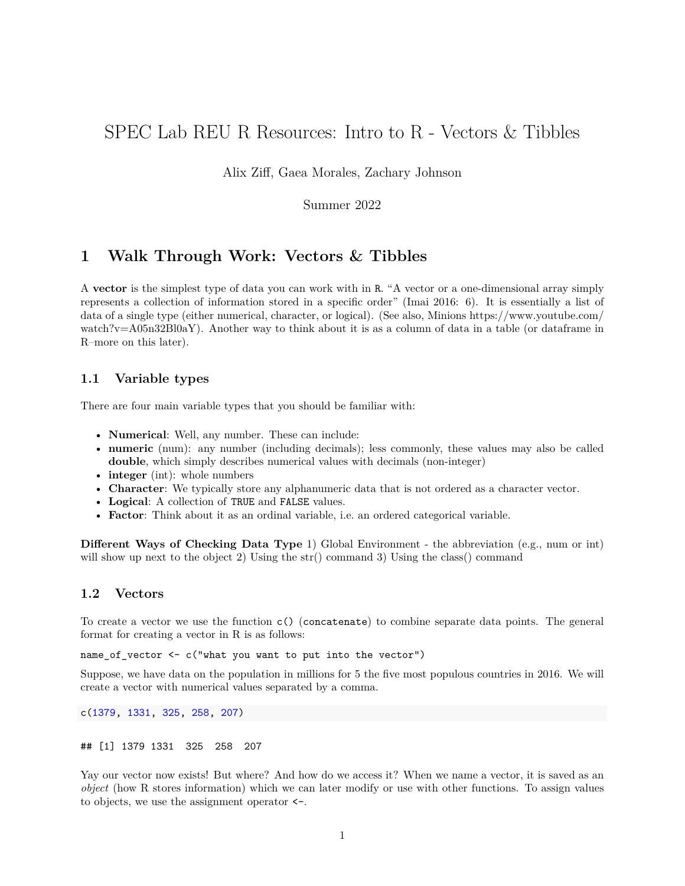# SPEC Lab REU R Resources: Intro to R - Vectors & Tibbles

Alix Ziff, Gaea Morales, Zachary Johnson

Summer 2022

## **1 Walk Through Work: Vectors & Tibbles**

A **vector** is the simplest type of data you can work with in R. "A vector or a one-dimensional array simply represents a collection of information stored in a specific order" (Imai 2016: 6). It is essentially a list of data of a single type (either numerical, character, or logical). (See also, Minions [https://www.youtube.com/](https://www.youtube.com/watch?v=A05n32Bl0aY) [watch?v=A05n32Bl0aY\)](https://www.youtube.com/watch?v=A05n32Bl0aY). Another way to think about it is as a column of data in a table (or dataframe in R–more on this later).

## **1.1 Variable types**

There are four main variable types that you should be familiar with:

- **Numerical**: Well, any number. These can include:
- **numeric** (num): any number (including decimals); less commonly, these values may also be called **double**, which simply describes numerical values with decimals (non-integer)
- **integer** (int): whole numbers
- **Character**: We typically store any alphanumeric data that is not ordered as a character vector.
- **Logical**: A collection of TRUE and FALSE values.
- **Factor**: Think about it as an ordinal variable, i.e. an ordered categorical variable.

**Different Ways of Checking Data Type** 1) Global Environment - the abbreviation (e.g., num or int) will show up next to the object 2) Using the str() command 3) Using the class() command

### **1.2 Vectors**

To create a vector we use the function c() (concatenate) to combine separate data points. The general format for creating a vector in R is as follows:

name\_of\_vector <- c("what you want to put into the vector")

Suppose, we have data on the population in millions for 5 the five most populous countries in 2016. We will create a vector with numerical values separated by a comma.

c(1379, 1331, 325, 258, 207)

#### ## [1] 1379 1331 325 258 207

Yay our vector now exists! But where? And how do we access it? When we name a vector, it is saved as an *object* (how R stores information) which we can later modify or use with other functions. To assign values to objects, we use the assignment operator <-.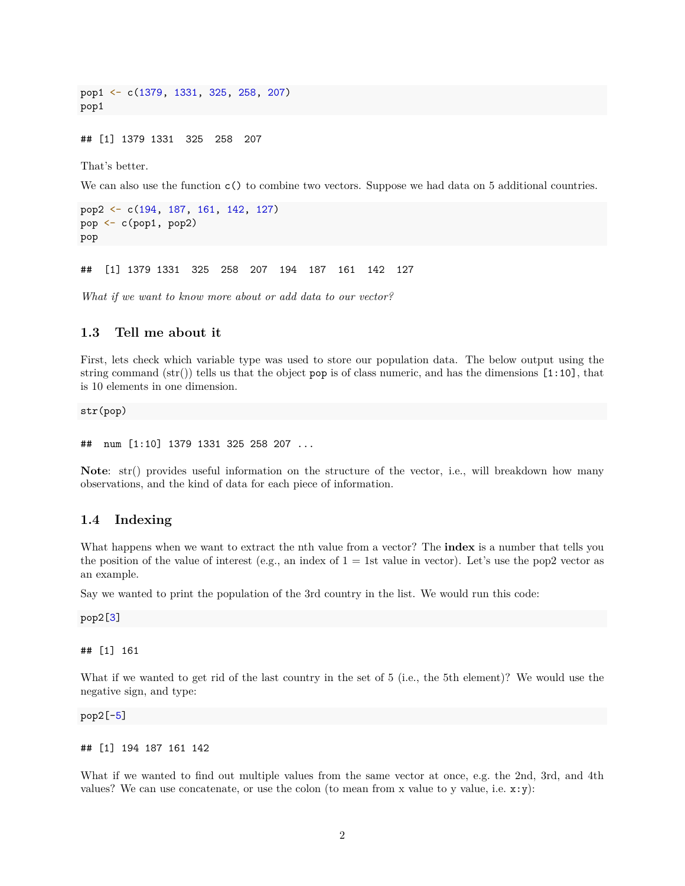pop1 <- c(1379, 1331, 325, 258, 207) pop1

## [1] 1379 1331 325 258 207

That's better.

We can also use the function  $c()$  to combine two vectors. Suppose we had data on 5 additional countries.

```
pop2 <- c(194, 187, 161, 142, 127)
pop <- c(pop1, pop2)
pop
```
## [1] 1379 1331 325 258 207 194 187 161 142 127

*What if we want to know more about or add data to our vector?*

### **1.3 Tell me about it**

First, lets check which variable type was used to store our population data. The below output using the string command  $(\text{str}())$  tells us that the object pop is of class numeric, and has the dimensions  $[1:10]$ , that is 10 elements in one dimension.

str(pop)

```
## num [1:10] 1379 1331 325 258 207 ...
```
**Note**: str() provides useful information on the structure of the vector, i.e., will breakdown how many observations, and the kind of data for each piece of information.

#### **1.4 Indexing**

What happens when we want to extract the nth value from a vector? The **index** is a number that tells you the position of the value of interest (e.g., an index of  $1 = 1$ st value in vector). Let's use the pop2 vector as an example.

Say we wanted to print the population of the 3rd country in the list. We would run this code:

pop2[3]

## [1] 161

What if we wanted to get rid of the last country in the set of 5 (i.e., the 5th element)? We would use the negative sign, and type:

pop2[-5]

## [1] 194 187 161 142

What if we wanted to find out multiple values from the same vector at once, e.g. the 2nd, 3rd, and 4th values? We can use concatenate, or use the colon (to mean from x value to y value, i.e.  $x:y$ ):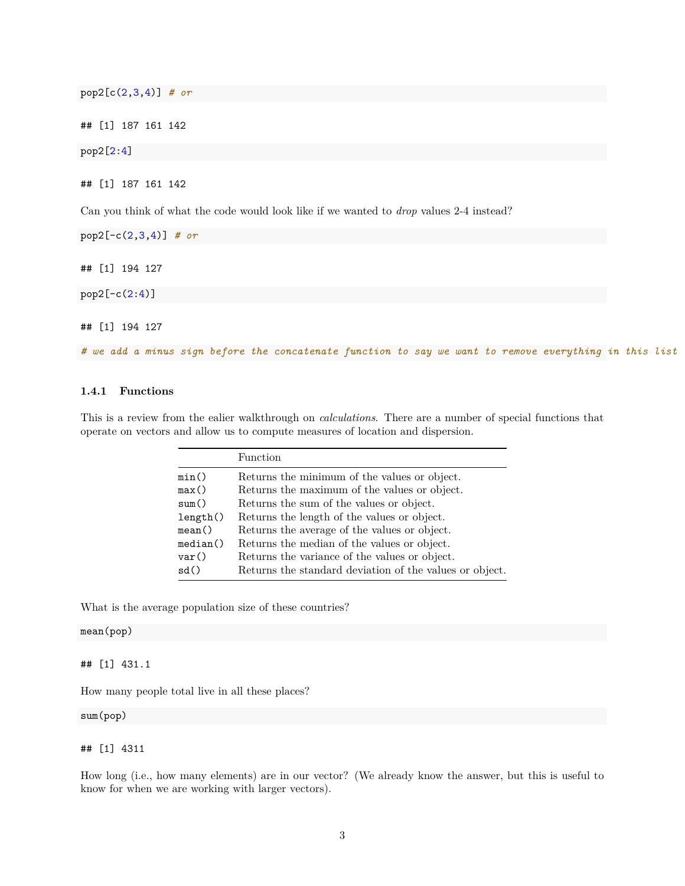pop2[c(2,3,4)] *# or*

## [1] 187 161 142

pop2[2:4]

## [1] 187 161 142

Can you think of what the code would look like if we wanted to *drop* values 2-4 instead?

pop2[-c(2,3,4)] *# or*

## [1] 194 127

pop2[-c(2:4)]

## [1] 194 127

*# we add a minus sign before the concatenate function to say we want to remove everything in this list*

#### **1.4.1 Functions**

This is a review from the ealier walkthrough on *calculations*. There are a number of special functions that operate on vectors and allow us to compute measures of location and dispersion.

|          | Function                                                |
|----------|---------------------------------------------------------|
| min()    | Returns the minimum of the values or object.            |
| max()    | Returns the maximum of the values or object.            |
| sum()    | Returns the sum of the values or object.                |
| length() | Returns the length of the values or object.             |
| mean()   | Returns the average of the values or object.            |
| median() | Returns the median of the values or object.             |
| var()    | Returns the variance of the values or object.           |
| sd()     | Returns the standard deviation of the values or object. |

What is the average population size of these countries?

#### mean(pop)

## [1] 431.1

How many people total live in all these places?

sum(pop)

#### ## [1] 4311

How long (i.e., how many elements) are in our vector? (We already know the answer, but this is useful to know for when we are working with larger vectors).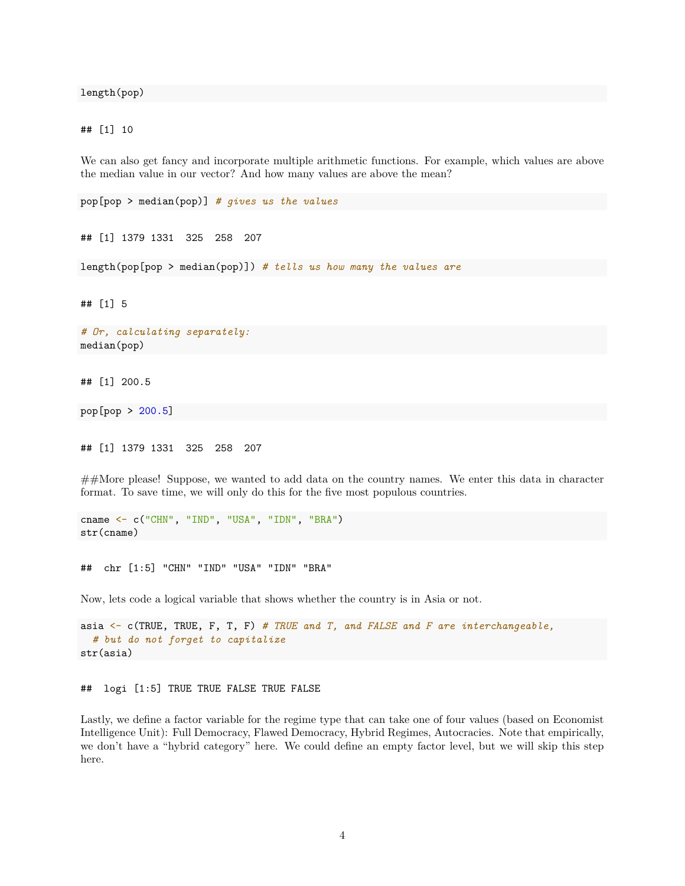length(pop)

## [1] 10

We can also get fancy and incorporate multiple arithmetic functions. For example, which values are above the median value in our vector? And how many values are above the mean?

pop[pop > median(pop)] *# gives us the values*

## [1] 1379 1331 325 258 207

length(pop[pop > median(pop)]) *# tells us how many the values are*

## [1] 5

```
# Or, calculating separately:
median(pop)
```
## [1] 200.5

pop[pop > 200.5]

## [1] 1379 1331 325 258 207

##More please! Suppose, we wanted to add data on the country names. We enter this data in character format. To save time, we will only do this for the five most populous countries.

cname <- c("CHN", "IND", "USA", "IDN", "BRA") str(cname)

## chr [1:5] "CHN" "IND" "USA" "IDN" "BRA"

Now, lets code a logical variable that shows whether the country is in Asia or not.

```
asia <- c(TRUE, TRUE, F, T, F) # TRUE and T, and FALSE and F are interchangeable,
  # but do not forget to capitalize
str(asia)
```
#### ## logi [1:5] TRUE TRUE FALSE TRUE FALSE

Lastly, we define a factor variable for the regime type that can take one of four values (based on Economist Intelligence Unit): Full Democracy, Flawed Democracy, Hybrid Regimes, Autocracies. Note that empirically, we don't have a "hybrid category" here. We could define an empty factor level, but we will skip this step here.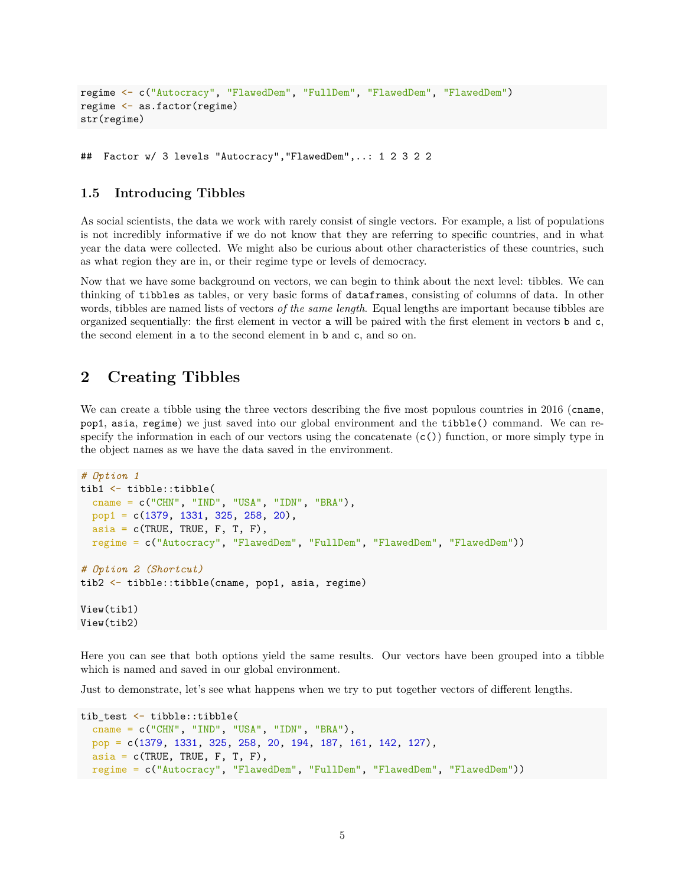```
regime <- c("Autocracy", "FlawedDem", "FullDem", "FlawedDem", "FlawedDem")
regime <- as.factor(regime)
str(regime)
```

```
## Factor w/ 3 levels "Autocracy","FlawedDem",..: 1 2 3 2 2
```
### **1.5 Introducing Tibbles**

As social scientists, the data we work with rarely consist of single vectors. For example, a list of populations is not incredibly informative if we do not know that they are referring to specific countries, and in what year the data were collected. We might also be curious about other characteristics of these countries, such as what region they are in, or their regime type or levels of democracy.

Now that we have some background on vectors, we can begin to think about the next level: tibbles. We can thinking of tibbles as tables, or very basic forms of dataframes, consisting of columns of data. In other words, tibbles are named lists of vectors *of the same length*. Equal lengths are important because tibbles are organized sequentially: the first element in vector a will be paired with the first element in vectors b and c, the second element in a to the second element in b and c, and so on.

## **2 Creating Tibbles**

We can create a tibble using the three vectors describing the five most populous countries in 2016 (cname, pop1, asia, regime) we just saved into our global environment and the tibble() command. We can respecify the information in each of our vectors using the concatenate  $(c)$  function, or more simply type in the object names as we have the data saved in the environment.

```
# Option 1
tib1 <- tibble::tibble(
  cname = c("CHN", "IND", "USA", "IDN", "BRA"),
 pop1 = c(1379, 1331, 325, 258, 20),
 aisi = c(TRUE, TRUE, F, T, F),regime = c("Autocracy", "FlawedDem", "FullDem", "FlawedDem", "FlawedDem"))
# Option 2 (Shortcut)
tib2 <- tibble::tibble(cname, pop1, asia, regime)
View(tib1)
View(tib2)
```
Here you can see that both options yield the same results. Our vectors have been grouped into a tibble which is named and saved in our global environment.

Just to demonstrate, let's see what happens when we try to put together vectors of different lengths.

```
tib_test <- tibble::tibble(
  cname = c("CHN", "IND", "USA", "IDN", "BRA"),
  pop = c(1379, 1331, 325, 258, 20, 194, 187, 161, 142, 127),
  aisia = c(TRUE, TRUE, F, T, F),regime = c("Autocracy", "FlawedDem", "FullDem", "FlawedDem", "FlawedDem"))
```